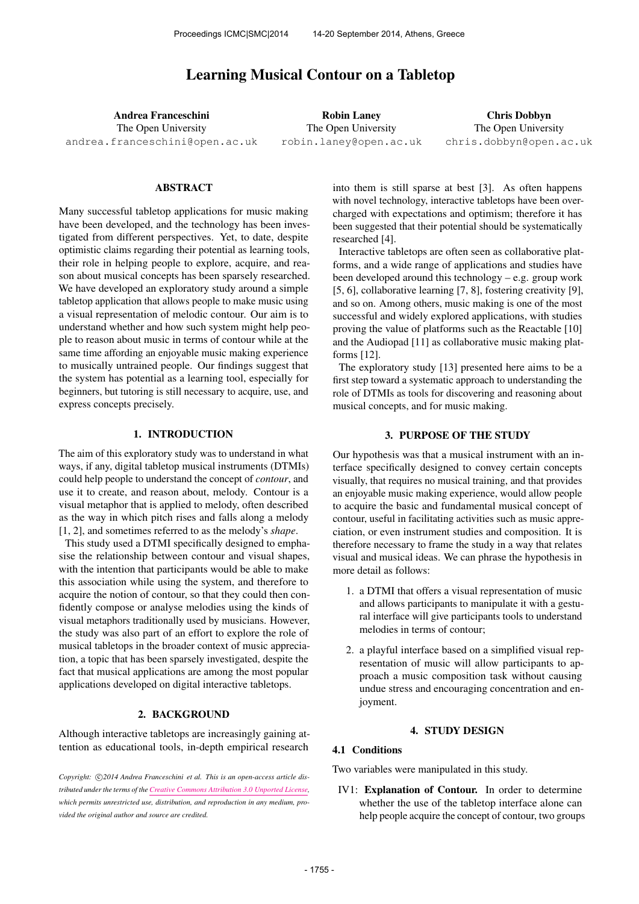# Learning Musical Contour on a Tabletop

Andrea Franceschini The Open University [andrea.franceschini@open.ac.uk](mailto:andrea.franceschini@open.ac.uk)

Robin Laney The Open University [robin.laney@open.ac.uk](mailto:robin.laney@open.ac.uk)

Chris Dobbyn The Open University [chris.dobbyn@open.ac.uk](mailto:chris.dobbyn@open.ac.uk)

### ABSTRACT

Many successful tabletop applications for music making have been developed, and the technology has been investigated from different perspectives. Yet, to date, despite optimistic claims regarding their potential as learning tools, their role in helping people to explore, acquire, and reason about musical concepts has been sparsely researched. We have developed an exploratory study around a simple tabletop application that allows people to make music using a visual representation of melodic contour. Our aim is to understand whether and how such system might help people to reason about music in terms of contour while at the same time affording an enjoyable music making experience to musically untrained people. Our findings suggest that the system has potential as a learning tool, especially for beginners, but tutoring is still necessary to acquire, use, and express concepts precisely.

### 1. INTRODUCTION

The aim of this exploratory study was to understand in what ways, if any, digital tabletop musical instruments (DTMIs) could help people to understand the concept of *contour*, and use it to create, and reason about, melody. Contour is a visual metaphor that is applied to melody, often described as the way in which pitch rises and falls along a melody [1, 2], and sometimes referred to as the melody's *shape*.

This study used a DTMI specifically designed to emphasise the relationship between contour and visual shapes, with the intention that participants would be able to make this association while using the system, and therefore to acquire the notion of contour, so that they could then confidently compose or analyse melodies using the kinds of visual metaphors traditionally used by musicians. However, the study was also part of an effort to explore the role of musical tabletops in the broader context of music appreciation, a topic that has been sparsely investigated, despite the fact that musical applications are among the most popular applications developed on digital interactive tabletops.

### 2. BACKGROUND

Although interactive tabletops are increasingly gaining attention as educational tools, in-depth empirical research

Copyright: C)2014 Andrea Franceschini et al. This is an open-access article dis*tributed under the terms of the [Creative Commons Attribution 3.0 Unported License,](http://creativecommons.org/licenses/by/3.0/) which permits unrestricted use, distribution, and reproduction in any medium, provided the original author and source are credited.*

into them is still sparse at best [3]. As often happens with novel technology, interactive tabletops have been overcharged with expectations and optimism; therefore it has been suggested that their potential should be systematically researched [4].

Interactive tabletops are often seen as collaborative platforms, and a wide range of applications and studies have been developed around this technology – e.g. group work [5, 6], collaborative learning [7, 8], fostering creativity [9], and so on. Among others, music making is one of the most successful and widely explored applications, with studies proving the value of platforms such as the Reactable [10] and the Audiopad [11] as collaborative music making platforms [12].

The exploratory study [13] presented here aims to be a first step toward a systematic approach to understanding the role of DTMIs as tools for discovering and reasoning about musical concepts, and for music making.

### 3. PURPOSE OF THE STUDY

Our hypothesis was that a musical instrument with an interface specifically designed to convey certain concepts visually, that requires no musical training, and that provides an enjoyable music making experience, would allow people to acquire the basic and fundamental musical concept of contour, useful in facilitating activities such as music appreciation, or even instrument studies and composition. It is therefore necessary to frame the study in a way that relates visual and musical ideas. We can phrase the hypothesis in more detail as follows:

- 1. a DTMI that offers a visual representation of music and allows participants to manipulate it with a gestural interface will give participants tools to understand melodies in terms of contour;
- 2. a playful interface based on a simplified visual representation of music will allow participants to approach a music composition task without causing undue stress and encouraging concentration and enjoyment.

#### 4. STUDY DESIGN

# 4.1 Conditions

Two variables were manipulated in this study.

IV1: Explanation of Contour. In order to determine whether the use of the tabletop interface alone can help people acquire the concept of contour, two groups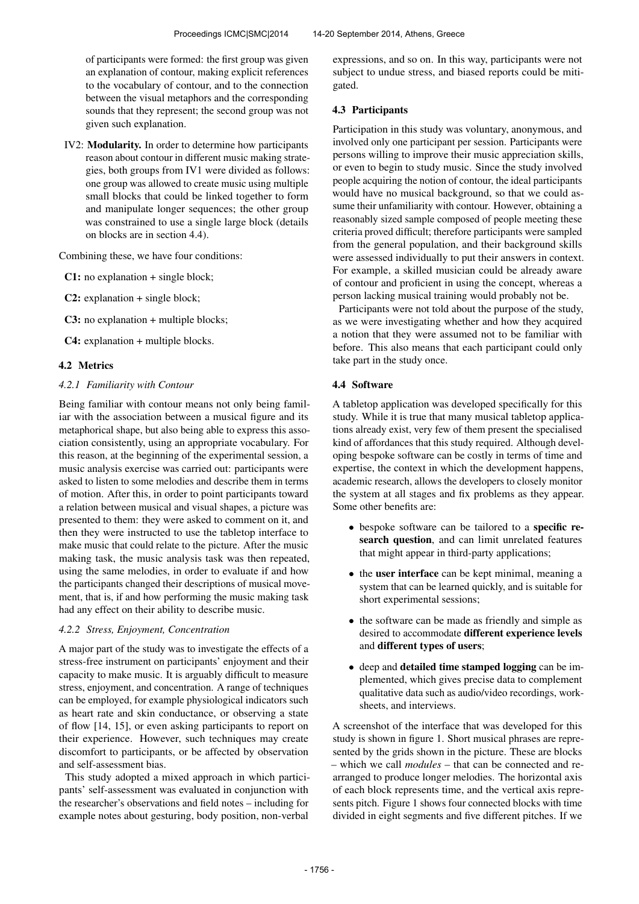of participants were formed: the first group was given an explanation of contour, making explicit references to the vocabulary of contour, and to the connection between the visual metaphors and the corresponding sounds that they represent; the second group was not given such explanation.

IV2: Modularity. In order to determine how participants reason about contour in different music making strategies, both groups from IV1 were divided as follows: one group was allowed to create music using multiple small blocks that could be linked together to form and manipulate longer sequences; the other group was constrained to use a single large block (details on blocks are in section 4.4).

Combining these, we have four conditions:

C1: no explanation + single block;

C2: explanation + single block;

C3: no explanation + multiple blocks;

C4: explanation + multiple blocks.

# 4.2 Metrics

### *4.2.1 Familiarity with Contour*

Being familiar with contour means not only being familiar with the association between a musical figure and its metaphorical shape, but also being able to express this association consistently, using an appropriate vocabulary. For this reason, at the beginning of the experimental session, a music analysis exercise was carried out: participants were asked to listen to some melodies and describe them in terms of motion. After this, in order to point participants toward a relation between musical and visual shapes, a picture was presented to them: they were asked to comment on it, and then they were instructed to use the tabletop interface to make music that could relate to the picture. After the music making task, the music analysis task was then repeated, using the same melodies, in order to evaluate if and how the participants changed their descriptions of musical movement, that is, if and how performing the music making task had any effect on their ability to describe music.

### *4.2.2 Stress, Enjoyment, Concentration*

A major part of the study was to investigate the effects of a stress-free instrument on participants' enjoyment and their capacity to make music. It is arguably difficult to measure stress, enjoyment, and concentration. A range of techniques can be employed, for example physiological indicators such as heart rate and skin conductance, or observing a state of flow [14, 15], or even asking participants to report on their experience. However, such techniques may create discomfort to participants, or be affected by observation and self-assessment bias.

This study adopted a mixed approach in which participants' self-assessment was evaluated in conjunction with the researcher's observations and field notes – including for example notes about gesturing, body position, non-verbal

expressions, and so on. In this way, participants were not subject to undue stress, and biased reports could be mitigated.

# 4.3 Participants

Participation in this study was voluntary, anonymous, and involved only one participant per session. Participants were persons willing to improve their music appreciation skills, or even to begin to study music. Since the study involved people acquiring the notion of contour, the ideal participants would have no musical background, so that we could assume their unfamiliarity with contour. However, obtaining a reasonably sized sample composed of people meeting these criteria proved difficult; therefore participants were sampled from the general population, and their background skills were assessed individually to put their answers in context. For example, a skilled musician could be already aware of contour and proficient in using the concept, whereas a person lacking musical training would probably not be.

Participants were not told about the purpose of the study, as we were investigating whether and how they acquired a notion that they were assumed not to be familiar with before. This also means that each participant could only take part in the study once.

# 4.4 Software

A tabletop application was developed specifically for this study. While it is true that many musical tabletop applications already exist, very few of them present the specialised kind of affordances that this study required. Although developing bespoke software can be costly in terms of time and expertise, the context in which the development happens, academic research, allows the developers to closely monitor the system at all stages and fix problems as they appear. Some other benefits are:

- bespoke software can be tailored to a **specific re**search question, and can limit unrelated features that might appear in third-party applications;
- the user interface can be kept minimal, meaning a system that can be learned quickly, and is suitable for short experimental sessions;
- the software can be made as friendly and simple as desired to accommodate different experience levels and different types of users;
- deep and detailed time stamped logging can be implemented, which gives precise data to complement qualitative data such as audio/video recordings, worksheets, and interviews.

A screenshot of the interface that was developed for this study is shown in figure 1. Short musical phrases are represented by the grids shown in the picture. These are blocks – which we call *modules* – that can be connected and rearranged to produce longer melodies. The horizontal axis of each block represents time, and the vertical axis represents pitch. Figure 1 shows four connected blocks with time divided in eight segments and five different pitches. If we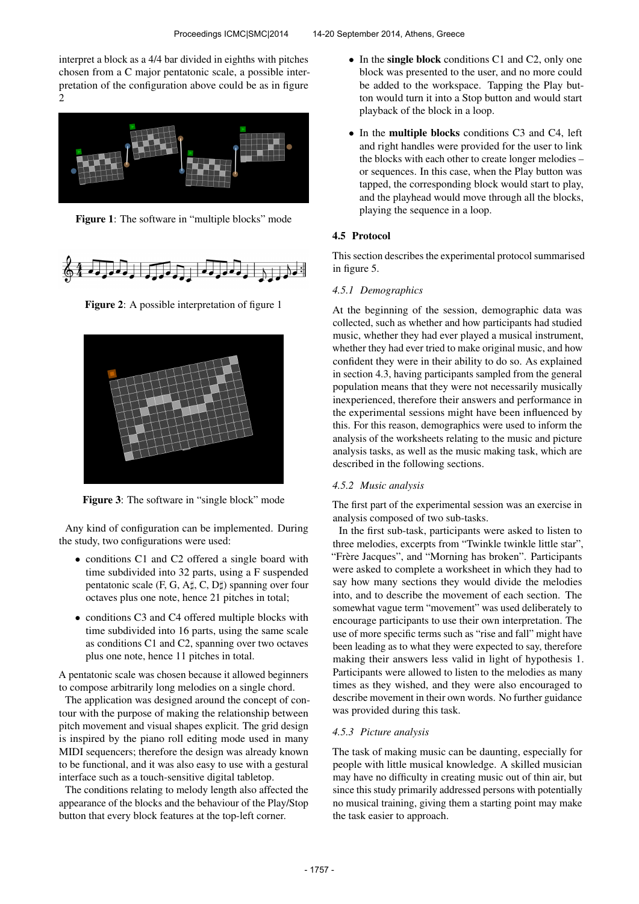interpret a block as a 4/4 bar divided in eighths with pitches chosen from a C major pentatonic scale, a possible interpretation of the configuration above could be as in figure 2



Figure 1: The software in "multiple blocks" mode



Figure 2: A possible interpretation of figure 1



Figure 3: The software in "single block" mode

Any kind of configuration can be implemented. During the study, two configurations were used:

- conditions C1 and C2 offered a single board with time subdivided into 32 parts, using a F suspended pentatonic scale (F, G, A♯, C, D♯) spanning over four octaves plus one note, hence 21 pitches in total;
- conditions C3 and C4 offered multiple blocks with time subdivided into 16 parts, using the same scale as conditions C1 and C2, spanning over two octaves plus one note, hence 11 pitches in total.

A pentatonic scale was chosen because it allowed beginners to compose arbitrarily long melodies on a single chord.

The application was designed around the concept of contour with the purpose of making the relationship between pitch movement and visual shapes explicit. The grid design is inspired by the piano roll editing mode used in many MIDI sequencers; therefore the design was already known to be functional, and it was also easy to use with a gestural interface such as a touch-sensitive digital tabletop.

The conditions relating to melody length also affected the appearance of the blocks and the behaviour of the Play/Stop button that every block features at the top-left corner.

- In the single block conditions C1 and C2, only one block was presented to the user, and no more could be added to the workspace. Tapping the Play button would turn it into a Stop button and would start playback of the block in a loop.
- In the multiple blocks conditions C3 and C4, left and right handles were provided for the user to link the blocks with each other to create longer melodies – or sequences. In this case, when the Play button was tapped, the corresponding block would start to play, and the playhead would move through all the blocks, playing the sequence in a loop.

#### 4.5 Protocol

This section describes the experimental protocol summarised in figure 5.

### *4.5.1 Demographics*

At the beginning of the session, demographic data was collected, such as whether and how participants had studied music, whether they had ever played a musical instrument, whether they had ever tried to make original music, and how confident they were in their ability to do so. As explained in section 4.3, having participants sampled from the general population means that they were not necessarily musically inexperienced, therefore their answers and performance in the experimental sessions might have been influenced by this. For this reason, demographics were used to inform the analysis of the worksheets relating to the music and picture analysis tasks, as well as the music making task, which are described in the following sections.

#### *4.5.2 Music analysis*

The first part of the experimental session was an exercise in analysis composed of two sub-tasks.

In the first sub-task, participants were asked to listen to three melodies, excerpts from "Twinkle twinkle little star", "Frère Jacques", and "Morning has broken". Participants were asked to complete a worksheet in which they had to say how many sections they would divide the melodies into, and to describe the movement of each section. The somewhat vague term "movement" was used deliberately to encourage participants to use their own interpretation. The use of more specific terms such as "rise and fall" might have been leading as to what they were expected to say, therefore making their answers less valid in light of hypothesis 1. Participants were allowed to listen to the melodies as many times as they wished, and they were also encouraged to describe movement in their own words. No further guidance was provided during this task.

#### *4.5.3 Picture analysis*

The task of making music can be daunting, especially for people with little musical knowledge. A skilled musician may have no difficulty in creating music out of thin air, but since this study primarily addressed persons with potentially no musical training, giving them a starting point may make the task easier to approach.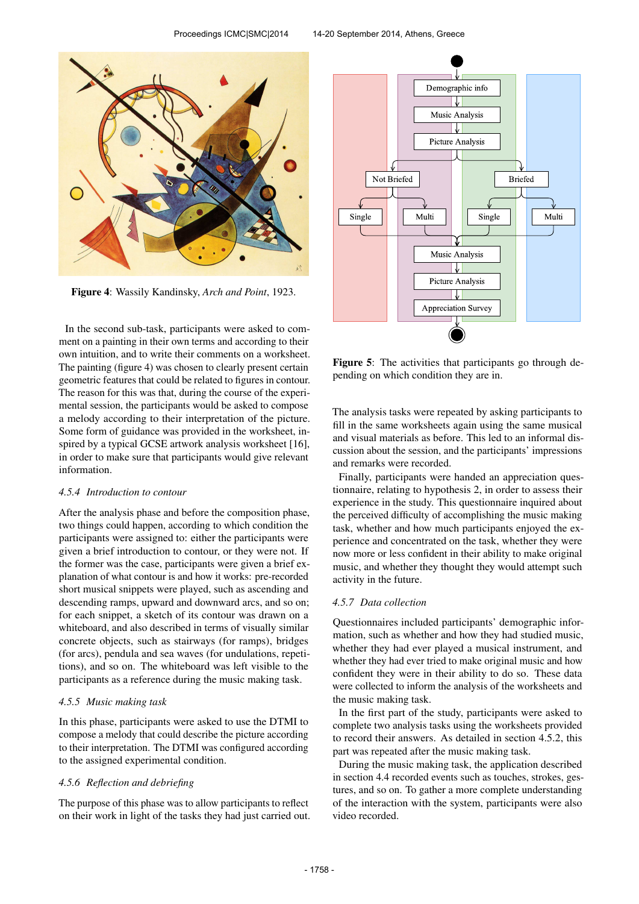

Figure 4: Wassily Kandinsky, *Arch and Point*, 1923.

In the second sub-task, participants were asked to comment on a painting in their own terms and according to their own intuition, and to write their comments on a worksheet. The painting (figure 4) was chosen to clearly present certain geometric features that could be related to figures in contour. The reason for this was that, during the course of the experimental session, the participants would be asked to compose a melody according to their interpretation of the picture. Some form of guidance was provided in the worksheet, inspired by a typical GCSE artwork analysis worksheet [16], in order to make sure that participants would give relevant information.

# *4.5.4 Introduction to contour*

After the analysis phase and before the composition phase, two things could happen, according to which condition the participants were assigned to: either the participants were given a brief introduction to contour, or they were not. If the former was the case, participants were given a brief explanation of what contour is and how it works: pre-recorded short musical snippets were played, such as ascending and descending ramps, upward and downward arcs, and so on; for each snippet, a sketch of its contour was drawn on a whiteboard, and also described in terms of visually similar concrete objects, such as stairways (for ramps), bridges (for arcs), pendula and sea waves (for undulations, repetitions), and so on. The whiteboard was left visible to the participants as a reference during the music making task.

### *4.5.5 Music making task*

In this phase, participants were asked to use the DTMI to compose a melody that could describe the picture according to their interpretation. The DTMI was configured according to the assigned experimental condition.

### *4.5.6 Reflection and debriefing*

The purpose of this phase was to allow participants to reflect on their work in light of the tasks they had just carried out.



Figure 5: The activities that participants go through depending on which condition they are in.

The analysis tasks were repeated by asking participants to fill in the same worksheets again using the same musical and visual materials as before. This led to an informal discussion about the session, and the participants' impressions and remarks were recorded.

Finally, participants were handed an appreciation questionnaire, relating to hypothesis 2, in order to assess their experience in the study. This questionnaire inquired about the perceived difficulty of accomplishing the music making task, whether and how much participants enjoyed the experience and concentrated on the task, whether they were now more or less confident in their ability to make original music, and whether they thought they would attempt such activity in the future.

#### *4.5.7 Data collection*

Questionnaires included participants' demographic information, such as whether and how they had studied music, whether they had ever played a musical instrument, and whether they had ever tried to make original music and how confident they were in their ability to do so. These data were collected to inform the analysis of the worksheets and the music making task.

In the first part of the study, participants were asked to complete two analysis tasks using the worksheets provided to record their answers. As detailed in section 4.5.2, this part was repeated after the music making task.

During the music making task, the application described in section 4.4 recorded events such as touches, strokes, gestures, and so on. To gather a more complete understanding of the interaction with the system, participants were also video recorded.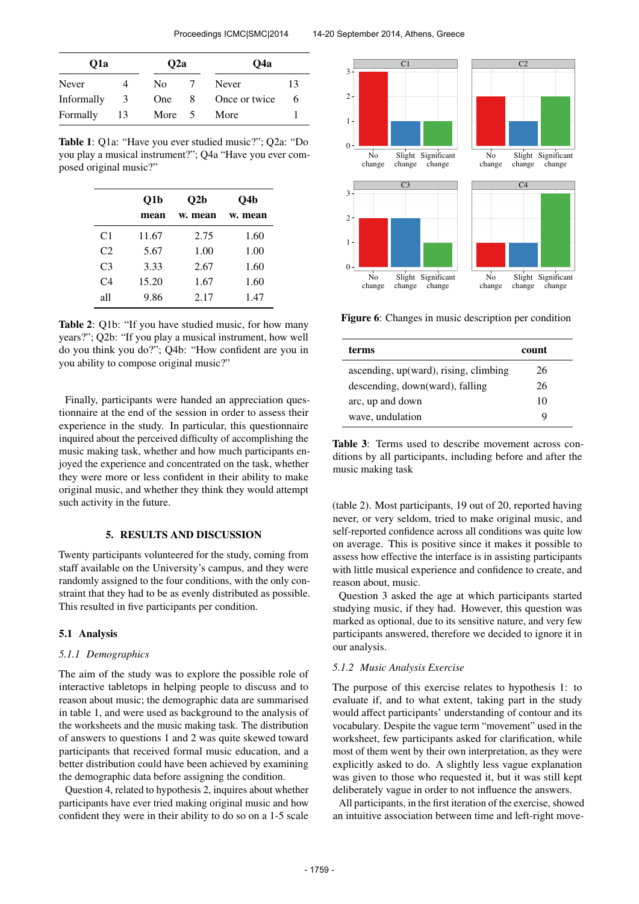| Q1a        |    | O <sub>2</sub> a |    | O4a           |    |
|------------|----|------------------|----|---------------|----|
| Never      |    | No.              |    | Never         | 13 |
| Informally | 3  | One              | -8 | Once or twice | 6  |
| Formally   | 13 | More 5           |    | More          |    |

Table 1: Q1a: "Have you ever studied music?"; Q2a: "Do you play a musical instrument?"; Q4a "Have you ever composed original music?"

|                | O1b   | O2b     | O4b     |  |
|----------------|-------|---------|---------|--|
|                | mean  | w. mean | w. mean |  |
| C <sub>1</sub> | 11.67 | 2.75    | 1.60    |  |
| C2             | 5.67  | 1.00    | 1.00    |  |
| C <sub>3</sub> | 3.33  | 2.67    | 1.60    |  |
| C <sub>4</sub> | 15.20 | 1.67    | 1.60    |  |
| all            | 9.86  | 2.17    | 1.47    |  |

Table 2: Q1b: "If you have studied music, for how many years?"; Q2b: "If you play a musical instrument, how well do you think you do?"; Q4b: "How confident are you in you ability to compose original music?"

Finally, participants were handed an appreciation questionnaire at the end of the session in order to assess their experience in the study. In particular, this questionnaire inquired about the perceived difficulty of accomplishing the music making task, whether and how much participants enjoyed the experience and concentrated on the task, whether they were more or less confident in their ability to make original music, and whether they think they would attempt such activity in the future.

#### 5. RESULTS AND DISCUSSION

Twenty participants volunteered for the study, coming from staff available on the University's campus, and they were randomly assigned to the four conditions, with the only constraint that they had to be as evenly distributed as possible. This resulted in five participants per condition.

#### 5.1 Analysis

#### *5.1.1 Demographics*

The aim of the study was to explore the possible role of interactive tabletops in helping people to discuss and to reason about music; the demographic data are summarised in table 1, and were used as background to the analysis of the worksheets and the music making task. The distribution of answers to questions 1 and 2 was quite skewed toward participants that received formal music education, and a better distribution could have been achieved by examining the demographic data before assigning the condition.

Question 4, related to hypothesis 2, inquires about whether participants have ever tried making original music and how confident they were in their ability to do so on a 1-5 scale



Figure 6: Changes in music description per condition

| terms                                 | count |
|---------------------------------------|-------|
| ascending, up(ward), rising, climbing | 26    |
| descending, down(ward), falling       | 26    |
| arc, up and down                      | 10    |
| wave, undulation                      | Q     |

Table 3: Terms used to describe movement across conditions by all participants, including before and after the music making task

(table 2). Most participants, 19 out of 20, reported having never, or very seldom, tried to make original music, and self-reported confidence across all conditions was quite low on average. This is positive since it makes it possible to assess how effective the interface is in assisting participants with little musical experience and confidence to create, and reason about, music.

Question 3 asked the age at which participants started studying music, if they had. However, this question was marked as optional, due to its sensitive nature, and very few participants answered, therefore we decided to ignore it in our analysis.

#### *5.1.2 Music Analysis Exercise*

The purpose of this exercise relates to hypothesis 1: to evaluate if, and to what extent, taking part in the study would affect participants' understanding of contour and its vocabulary. Despite the vague term "movement" used in the worksheet, few participants asked for clarification, while most of them went by their own interpretation, as they were explicitly asked to do. A slightly less vague explanation was given to those who requested it, but it was still kept deliberately vague in order to not influence the answers.

All participants, in the first iteration of the exercise, showed an intuitive association between time and left-right move-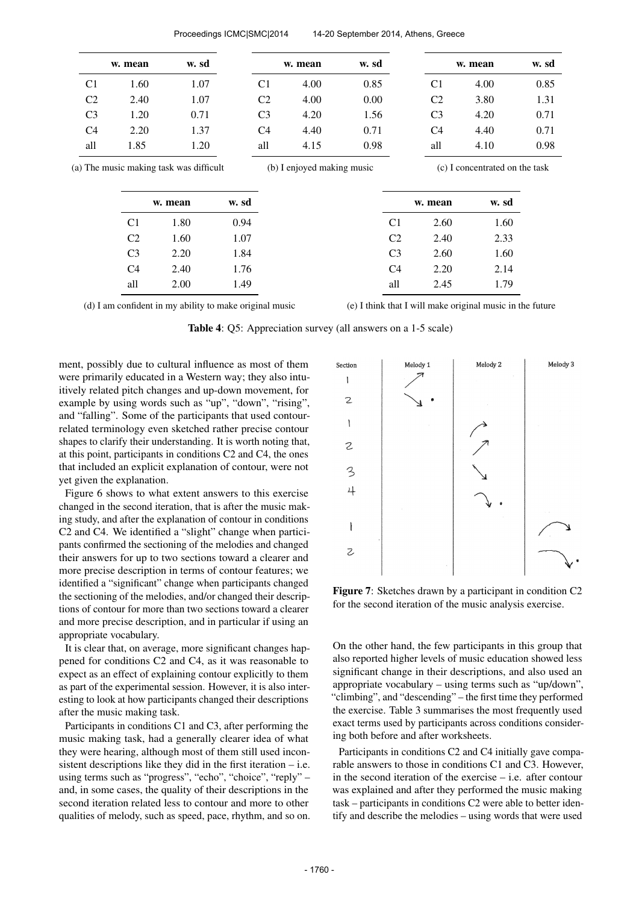| w. sd | w. mean                        |                | w. sd          | w. mean                    |                | w. sd                                   | w. mean        |                |
|-------|--------------------------------|----------------|----------------|----------------------------|----------------|-----------------------------------------|----------------|----------------|
| 0.85  | 4.00                           | C <sub>1</sub> | 0.85           | 4.00                       | C <sub>1</sub> | 1.07                                    | 1.60           | C <sub>1</sub> |
| 1.31  | 3.80                           | C <sub>2</sub> | 0.00           | 4.00                       | C <sub>2</sub> | 1.07                                    | 2.40           | C <sub>2</sub> |
| 0.71  | 4.20                           | C <sub>3</sub> | 1.56           | 4.20                       | C <sub>3</sub> | 0.71                                    | 1.20           | C <sub>3</sub> |
| 0.71  | 4.40                           | C <sub>4</sub> | 0.71           | 4.40                       | C <sub>4</sub> | 1.37                                    | 2.20           | C <sub>4</sub> |
|       | 4.10                           | all            | 0.98           | 4.15                       | all            | 1.20                                    | 1.85           | all            |
| 0.98  | (c) I concentrated on the task |                |                | (b) I enjoyed making music |                | (a) The music making task was difficult |                |                |
|       |                                |                |                |                            |                |                                         |                |                |
|       | w. sd                          | w. mean        |                |                            | w. sd          | w. mean                                 |                |                |
|       | 1.60                           | 2.60           | C <sub>1</sub> |                            | 0.94           | 1.80                                    | C <sub>1</sub> |                |
|       | 2.33                           | 2.40           | C <sub>2</sub> |                            | 1.07           | 1.60                                    | C <sub>2</sub> |                |
|       | 1.60                           | 2.60           | C <sub>3</sub> |                            | 1.84           | 2.20                                    | C <sub>3</sub> |                |
|       | 2.14                           | 2.20           | C <sub>4</sub> |                            | 1.76           | 2.40                                    | C <sub>4</sub> |                |

Proceedings ICMC|SMC|2014 14-20 September 2014, Athens, Greece

(d) I am confident in my ability to make original music

(e) I think that I will make original music in the future

Table 4: Q5: Appreciation survey (all answers on a 1-5 scale)

ment, possibly due to cultural influence as most of them were primarily educated in a Western way; they also intuitively related pitch changes and up-down movement, for example by using words such as "up", "down", "rising", and "falling". Some of the participants that used contourrelated terminology even sketched rather precise contour shapes to clarify their understanding. It is worth noting that, at this point, participants in conditions C2 and C4, the ones that included an explicit explanation of contour, were not yet given the explanation.

Figure 6 shows to what extent answers to this exercise changed in the second iteration, that is after the music making study, and after the explanation of contour in conditions C2 and C4. We identified a "slight" change when participants confirmed the sectioning of the melodies and changed their answers for up to two sections toward a clearer and more precise description in terms of contour features; we identified a "significant" change when participants changed the sectioning of the melodies, and/or changed their descriptions of contour for more than two sections toward a clearer and more precise description, and in particular if using an appropriate vocabulary.

It is clear that, on average, more significant changes happened for conditions C2 and C4, as it was reasonable to expect as an effect of explaining contour explicitly to them as part of the experimental session. However, it is also interesting to look at how participants changed their descriptions after the music making task.

Participants in conditions C1 and C3, after performing the music making task, had a generally clearer idea of what they were hearing, although most of them still used inconsistent descriptions like they did in the first iteration – i.e. using terms such as "progress", "echo", "choice", "reply" – and, in some cases, the quality of their descriptions in the second iteration related less to contour and more to other qualities of melody, such as speed, pace, rhythm, and so on.



Figure 7: Sketches drawn by a participant in condition C2 for the second iteration of the music analysis exercise.

On the other hand, the few participants in this group that also reported higher levels of music education showed less significant change in their descriptions, and also used an appropriate vocabulary – using terms such as "up/down", "climbing", and "descending" – the first time they performed the exercise. Table 3 summarises the most frequently used exact terms used by participants across conditions considering both before and after worksheets.

Participants in conditions C2 and C4 initially gave comparable answers to those in conditions C1 and C3. However, in the second iteration of the exercise – i.e. after contour was explained and after they performed the music making task – participants in conditions C2 were able to better identify and describe the melodies – using words that were used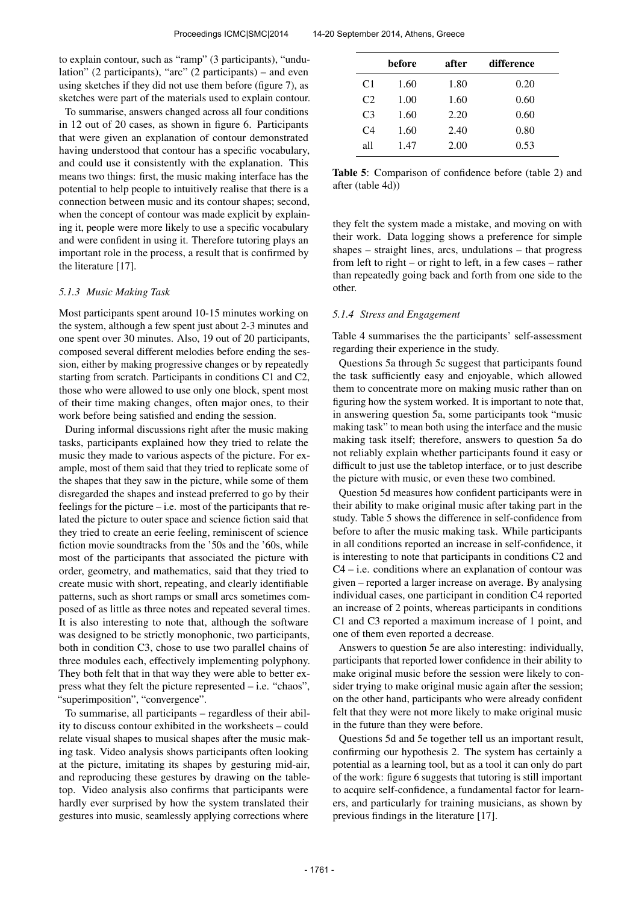to explain contour, such as "ramp" (3 participants), "undulation" (2 participants), "arc" (2 participants) – and even using sketches if they did not use them before (figure 7), as sketches were part of the materials used to explain contour.

To summarise, answers changed across all four conditions in 12 out of 20 cases, as shown in figure 6. Participants that were given an explanation of contour demonstrated having understood that contour has a specific vocabulary, and could use it consistently with the explanation. This means two things: first, the music making interface has the potential to help people to intuitively realise that there is a connection between music and its contour shapes; second, when the concept of contour was made explicit by explaining it, people were more likely to use a specific vocabulary and were confident in using it. Therefore tutoring plays an important role in the process, a result that is confirmed by the literature [17].

#### *5.1.3 Music Making Task*

Most participants spent around 10-15 minutes working on the system, although a few spent just about 2-3 minutes and one spent over 30 minutes. Also, 19 out of 20 participants, composed several different melodies before ending the session, either by making progressive changes or by repeatedly starting from scratch. Participants in conditions C1 and C2, those who were allowed to use only one block, spent most of their time making changes, often major ones, to their work before being satisfied and ending the session.

During informal discussions right after the music making tasks, participants explained how they tried to relate the music they made to various aspects of the picture. For example, most of them said that they tried to replicate some of the shapes that they saw in the picture, while some of them disregarded the shapes and instead preferred to go by their feelings for the picture – i.e. most of the participants that related the picture to outer space and science fiction said that they tried to create an eerie feeling, reminiscent of science fiction movie soundtracks from the '50s and the '60s, while most of the participants that associated the picture with order, geometry, and mathematics, said that they tried to create music with short, repeating, and clearly identifiable patterns, such as short ramps or small arcs sometimes composed of as little as three notes and repeated several times. It is also interesting to note that, although the software was designed to be strictly monophonic, two participants, both in condition C3, chose to use two parallel chains of three modules each, effectively implementing polyphony. They both felt that in that way they were able to better express what they felt the picture represented – i.e. "chaos", "superimposition", "convergence".

To summarise, all participants – regardless of their ability to discuss contour exhibited in the worksheets – could relate visual shapes to musical shapes after the music making task. Video analysis shows participants often looking at the picture, imitating its shapes by gesturing mid-air, and reproducing these gestures by drawing on the tabletop. Video analysis also confirms that participants were hardly ever surprised by how the system translated their gestures into music, seamlessly applying corrections where

|                | before | after | difference |
|----------------|--------|-------|------------|
| C <sub>1</sub> | 1.60   | 1.80  | 0.20       |
| C2             | 1.00   | 1.60  | 0.60       |
| C <sub>3</sub> | 1.60   | 2.20  | 0.60       |
| C <sub>4</sub> | 1.60   | 2.40  | 0.80       |
| all            | 1.47   | 2.00  | 0.53       |

Table 5: Comparison of confidence before (table 2) and after (table 4d))

they felt the system made a mistake, and moving on with their work. Data logging shows a preference for simple shapes – straight lines, arcs, undulations – that progress from left to right – or right to left, in a few cases – rather than repeatedly going back and forth from one side to the other.

#### *5.1.4 Stress and Engagement*

Table 4 summarises the the participants' self-assessment regarding their experience in the study.

Questions 5a through 5c suggest that participants found the task sufficiently easy and enjoyable, which allowed them to concentrate more on making music rather than on figuring how the system worked. It is important to note that, in answering question 5a, some participants took "music making task" to mean both using the interface and the music making task itself; therefore, answers to question 5a do not reliably explain whether participants found it easy or difficult to just use the tabletop interface, or to just describe the picture with music, or even these two combined.

Question 5d measures how confident participants were in their ability to make original music after taking part in the study. Table 5 shows the difference in self-confidence from before to after the music making task. While participants in all conditions reported an increase in self-confidence, it is interesting to note that participants in conditions C2 and  $C4 - i.e.$  conditions where an explanation of contour was given – reported a larger increase on average. By analysing individual cases, one participant in condition C4 reported an increase of 2 points, whereas participants in conditions C1 and C3 reported a maximum increase of 1 point, and one of them even reported a decrease.

Answers to question 5e are also interesting: individually, participants that reported lower confidence in their ability to make original music before the session were likely to consider trying to make original music again after the session; on the other hand, participants who were already confident felt that they were not more likely to make original music in the future than they were before.

Questions 5d and 5e together tell us an important result, confirming our hypothesis 2. The system has certainly a potential as a learning tool, but as a tool it can only do part of the work: figure 6 suggests that tutoring is still important to acquire self-confidence, a fundamental factor for learners, and particularly for training musicians, as shown by previous findings in the literature [17].